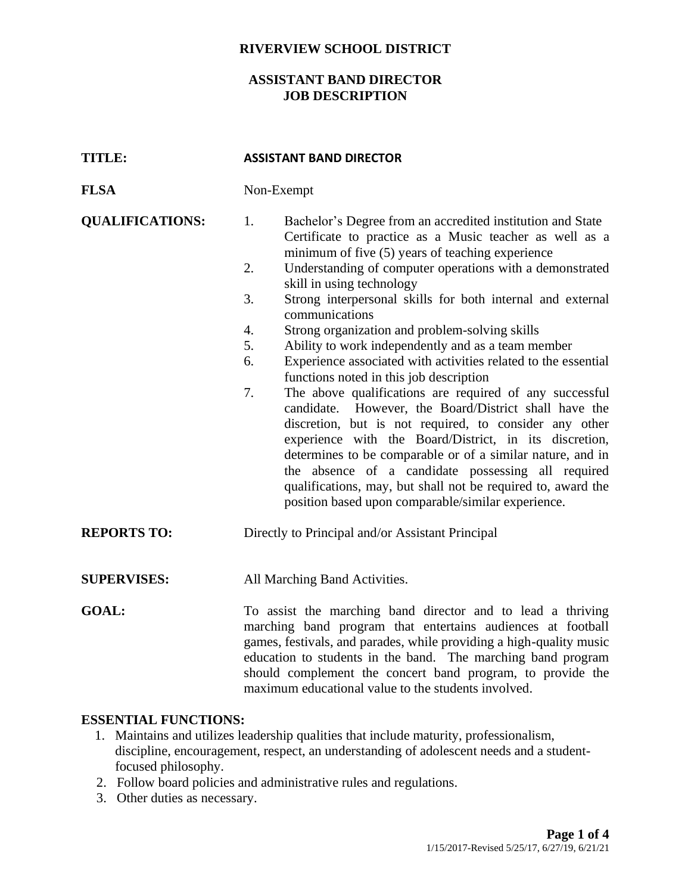### **RIVERVIEW SCHOOL DISTRICT**

### **ASSISTANT BAND DIRECTOR JOB DESCRIPTION**

| <b>TITLE:</b>          | <b>ASSISTANT BAND DIRECTOR</b>                                                                                                                                                                                                                                                                                                                                                                                                                                                                                                                                                                                                                                                                                                                                                                                                                                                                                                                                                                                                                                                                         |  |
|------------------------|--------------------------------------------------------------------------------------------------------------------------------------------------------------------------------------------------------------------------------------------------------------------------------------------------------------------------------------------------------------------------------------------------------------------------------------------------------------------------------------------------------------------------------------------------------------------------------------------------------------------------------------------------------------------------------------------------------------------------------------------------------------------------------------------------------------------------------------------------------------------------------------------------------------------------------------------------------------------------------------------------------------------------------------------------------------------------------------------------------|--|
| <b>FLSA</b>            | Non-Exempt                                                                                                                                                                                                                                                                                                                                                                                                                                                                                                                                                                                                                                                                                                                                                                                                                                                                                                                                                                                                                                                                                             |  |
| <b>QUALIFICATIONS:</b> | 1.<br>Bachelor's Degree from an accredited institution and State<br>Certificate to practice as a Music teacher as well as a<br>minimum of five (5) years of teaching experience<br>Understanding of computer operations with a demonstrated<br>2.<br>skill in using technology<br>3.<br>Strong interpersonal skills for both internal and external<br>communications<br>4.<br>Strong organization and problem-solving skills<br>5.<br>Ability to work independently and as a team member<br>Experience associated with activities related to the essential<br>6.<br>functions noted in this job description<br>The above qualifications are required of any successful<br>7.<br>However, the Board/District shall have the<br>candidate.<br>discretion, but is not required, to consider any other<br>experience with the Board/District, in its discretion,<br>determines to be comparable or of a similar nature, and in<br>the absence of a candidate possessing all required<br>qualifications, may, but shall not be required to, award the<br>position based upon comparable/similar experience. |  |
| <b>REPORTS TO:</b>     | Directly to Principal and/or Assistant Principal                                                                                                                                                                                                                                                                                                                                                                                                                                                                                                                                                                                                                                                                                                                                                                                                                                                                                                                                                                                                                                                       |  |
| <b>SUPERVISES:</b>     | All Marching Band Activities.                                                                                                                                                                                                                                                                                                                                                                                                                                                                                                                                                                                                                                                                                                                                                                                                                                                                                                                                                                                                                                                                          |  |
| <b>GOAL:</b>           | To assist the marching band director and to lead a thriving<br>marching band program that entertains audiences at football<br>games, festivals, and parades, while providing a high-quality music<br>education to students in the band. The marching band program<br>should complement the concert band program, to provide the<br>maximum educational value to the students involved.                                                                                                                                                                                                                                                                                                                                                                                                                                                                                                                                                                                                                                                                                                                 |  |

### **ESSENTIAL FUNCTIONS:**

- 1. Maintains and utilizes leadership qualities that include maturity, professionalism, discipline, encouragement, respect, an understanding of adolescent needs and a studentfocused philosophy.
- 2. Follow board policies and administrative rules and regulations.
- 3. Other duties as necessary.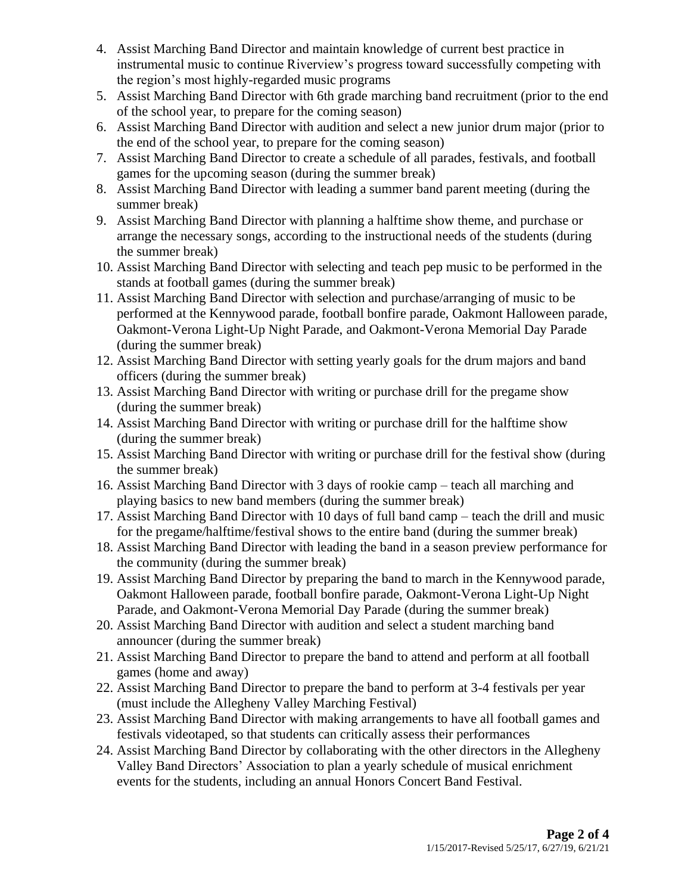- 4. Assist Marching Band Director and maintain knowledge of current best practice in instrumental music to continue Riverview's progress toward successfully competing with the region's most highly-regarded music programs
- 5. Assist Marching Band Director with 6th grade marching band recruitment (prior to the end of the school year, to prepare for the coming season)
- 6. Assist Marching Band Director with audition and select a new junior drum major (prior to the end of the school year, to prepare for the coming season)
- 7. Assist Marching Band Director to create a schedule of all parades, festivals, and football games for the upcoming season (during the summer break)
- 8. Assist Marching Band Director with leading a summer band parent meeting (during the summer break)
- 9. Assist Marching Band Director with planning a halftime show theme, and purchase or arrange the necessary songs, according to the instructional needs of the students (during the summer break)
- 10. Assist Marching Band Director with selecting and teach pep music to be performed in the stands at football games (during the summer break)
- 11. Assist Marching Band Director with selection and purchase/arranging of music to be performed at the Kennywood parade, football bonfire parade, Oakmont Halloween parade, Oakmont-Verona Light-Up Night Parade, and Oakmont-Verona Memorial Day Parade (during the summer break)
- 12. Assist Marching Band Director with setting yearly goals for the drum majors and band officers (during the summer break)
- 13. Assist Marching Band Director with writing or purchase drill for the pregame show (during the summer break)
- 14. Assist Marching Band Director with writing or purchase drill for the halftime show (during the summer break)
- 15. Assist Marching Band Director with writing or purchase drill for the festival show (during the summer break)
- 16. Assist Marching Band Director with 3 days of rookie camp teach all marching and playing basics to new band members (during the summer break)
- 17. Assist Marching Band Director with 10 days of full band camp teach the drill and music for the pregame/halftime/festival shows to the entire band (during the summer break)
- 18. Assist Marching Band Director with leading the band in a season preview performance for the community (during the summer break)
- 19. Assist Marching Band Director by preparing the band to march in the Kennywood parade, Oakmont Halloween parade, football bonfire parade, Oakmont-Verona Light-Up Night Parade, and Oakmont-Verona Memorial Day Parade (during the summer break)
- 20. Assist Marching Band Director with audition and select a student marching band announcer (during the summer break)
- 21. Assist Marching Band Director to prepare the band to attend and perform at all football games (home and away)
- 22. Assist Marching Band Director to prepare the band to perform at 3-4 festivals per year (must include the Allegheny Valley Marching Festival)
- 23. Assist Marching Band Director with making arrangements to have all football games and festivals videotaped, so that students can critically assess their performances
- 24. Assist Marching Band Director by collaborating with the other directors in the Allegheny Valley Band Directors' Association to plan a yearly schedule of musical enrichment events for the students, including an annual Honors Concert Band Festival.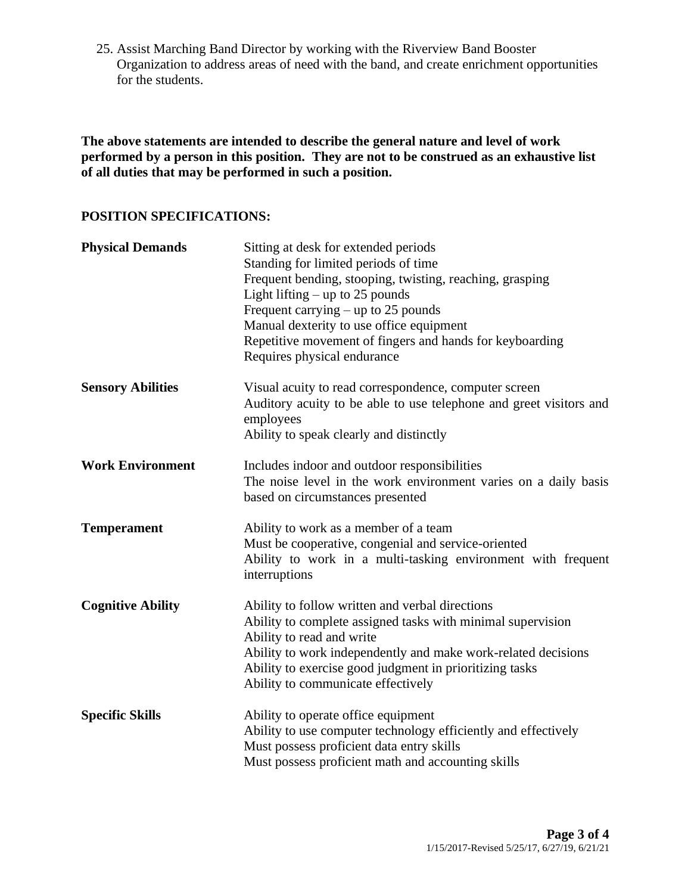25. Assist Marching Band Director by working with the Riverview Band Booster Organization to address areas of need with the band, and create enrichment opportunities for the students.

**The above statements are intended to describe the general nature and level of work performed by a person in this position. They are not to be construed as an exhaustive list of all duties that may be performed in such a position.**

# **POSITION SPECIFICATIONS:**

| <b>Physical Demands</b>  | Sitting at desk for extended periods<br>Standing for limited periods of time<br>Frequent bending, stooping, twisting, reaching, grasping<br>Light lifting $-$ up to 25 pounds<br>Frequent carrying $-$ up to 25 pounds<br>Manual dexterity to use office equipment<br>Repetitive movement of fingers and hands for keyboarding<br>Requires physical endurance |  |
|--------------------------|---------------------------------------------------------------------------------------------------------------------------------------------------------------------------------------------------------------------------------------------------------------------------------------------------------------------------------------------------------------|--|
| <b>Sensory Abilities</b> | Visual acuity to read correspondence, computer screen<br>Auditory acuity to be able to use telephone and greet visitors and<br>employees<br>Ability to speak clearly and distinctly                                                                                                                                                                           |  |
| <b>Work Environment</b>  | Includes indoor and outdoor responsibilities<br>The noise level in the work environment varies on a daily basis<br>based on circumstances presented                                                                                                                                                                                                           |  |
| <b>Temperament</b>       | Ability to work as a member of a team<br>Must be cooperative, congenial and service-oriented<br>Ability to work in a multi-tasking environment with frequent<br>interruptions                                                                                                                                                                                 |  |
| <b>Cognitive Ability</b> | Ability to follow written and verbal directions<br>Ability to complete assigned tasks with minimal supervision<br>Ability to read and write<br>Ability to work independently and make work-related decisions<br>Ability to exercise good judgment in prioritizing tasks<br>Ability to communicate effectively                                                 |  |
| <b>Specific Skills</b>   | Ability to operate office equipment<br>Ability to use computer technology efficiently and effectively<br>Must possess proficient data entry skills<br>Must possess proficient math and accounting skills                                                                                                                                                      |  |